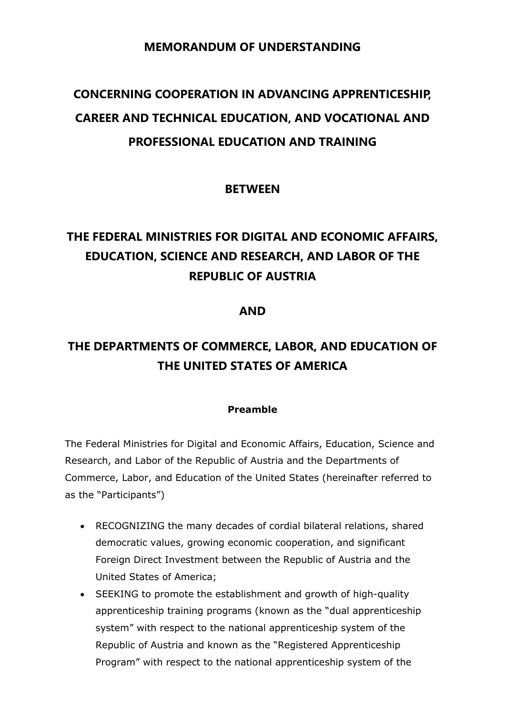### **MEMORANDUM OF UNDERSTANDING**

# **CONCERNING COOPERATION IN ADVANCING APPRENTICESHIP, CAREER AND TECHNICAL EDUCATION, AND VOCATIONAL AND PROFESSIONAL EDUCATION AND TRAINING**

#### **BETWEEN**

# **THE FEDERAL MINISTRIES FOR DIGITAL AND ECONOMIC AFFAIRS, EDUCATION, SCIENCE AND RESEARCH, AND LABOR OF THE REPUBLIC OF AUSTRIA**

#### **AND**

## **THE DEPARTMENTS OF COMMERCE, LABOR, AND EDUCATION OF THE UNITED STATES OF AMERICA**

#### **Preamble**

The Federal Ministries for Digital and Economic Affairs, Education, Science and Research, and Labor of the Republic of Austria and the Departments of Commerce, Labor, and Education of the United States (hereinafter referred to as the "Participants")

- RECOGNIZING the many decades of cordial bilateral relations, shared democratic values, growing economic cooperation, and significant Foreign Direct Investment between the Republic of Austria and the United States of America;
- SEEKING to promote the establishment and growth of high-quality apprenticeship training programs (known as the "dual apprenticeship system" with respect to the national apprenticeship system of the Republic of Austria and known as the "Registered Apprenticeship Program" with respect to the national apprenticeship system of the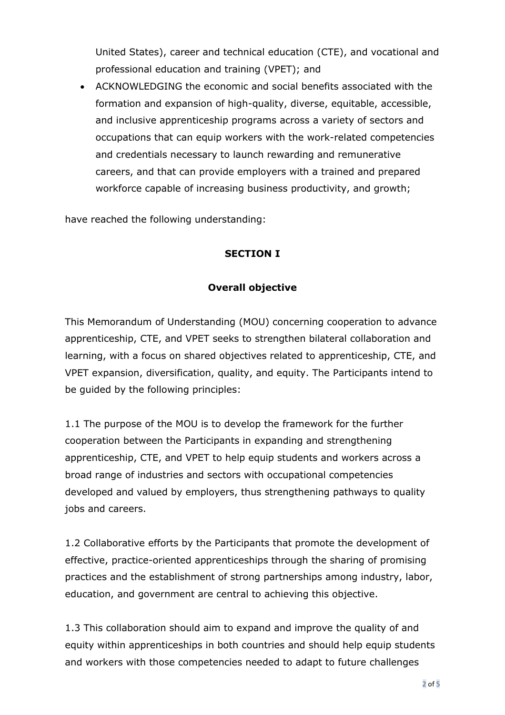United States), career and technical education (CTE), and vocational and professional education and training (VPET); and

• ACKNOWLEDGING the economic and social benefits associated with the formation and expansion of high-quality, diverse, equitable, accessible, and inclusive apprenticeship programs across a variety of sectors and occupations that can equip workers with the work-related competencies and credentials necessary to launch rewarding and remunerative careers, and that can provide employers with a trained and prepared workforce capable of increasing business productivity, and growth;

have reached the following understanding:

#### **SECTION I**

#### **Overall objective**

This Memorandum of Understanding (MOU) concerning cooperation to advance apprenticeship, CTE, and VPET seeks to strengthen bilateral collaboration and learning, with a focus on shared objectives related to apprenticeship, CTE, and VPET expansion, diversification, quality, and equity. The Participants intend to be guided by the following principles:

1.1 The purpose of the MOU is to develop the framework for the further cooperation between the Participants in expanding and strengthening apprenticeship, CTE, and VPET to help equip students and workers across a broad range of industries and sectors with occupational competencies developed and valued by employers, thus strengthening pathways to quality jobs and careers.

1.2 Collaborative efforts by the Participants that promote the development of effective, practice-oriented apprenticeships through the sharing of promising practices and the establishment of strong partnerships among industry, labor, education, and government are central to achieving this objective.

1.3 This collaboration should aim to expand and improve the quality of and equity within apprenticeships in both countries and should help equip students and workers with those competencies needed to adapt to future challenges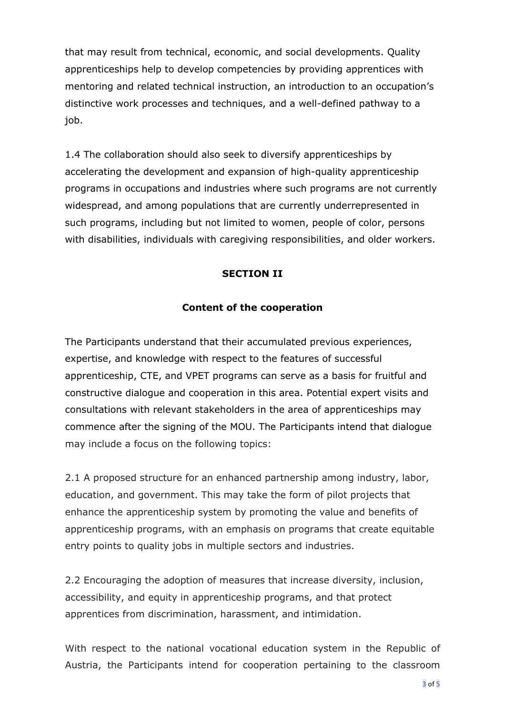that may result from technical, economic, and social developments. Quality apprenticeships help to develop competencies by providing apprentices with mentoring and related technical instruction, an introduction to an occupation's distinctive work processes and techniques, and a well-defined pathway to a job.

1.4 The collaboration should also seek to diversify apprenticeships by accelerating the development and expansion of high-quality apprenticeship programs in occupations and industries where such programs are not currently widespread, and among populations that are currently underrepresented in such programs, including but not limited to women, people of color, persons with disabilities, individuals with caregiving responsibilities, and older workers.

#### **SECTION II**

#### **Content of the cooperation**

The Participants understand that their accumulated previous experiences, expertise, and knowledge with respect to the features of successful apprenticeship, CTE, and VPET programs can serve as a basis for fruitful and constructive dialogue and cooperation in this area. Potential expert visits and consultations with relevant stakeholders in the area of apprenticeships may commence after the signing of the MOU. The Participants intend that dialogue may include a focus on the following topics:

2.1 A proposed structure for an enhanced partnership among industry, labor, education, and government. This may take the form of pilot projects that enhance the apprenticeship system by promoting the value and benefits of apprenticeship programs, with an emphasis on programs that create equitable entry points to quality jobs in multiple sectors and industries.

2.2 Encouraging the adoption of measures that increase diversity, inclusion, accessibility, and equity in apprenticeship programs, and that protect apprentices from discrimination, harassment, and intimidation.

With respect to the national vocational education system in the Republic of Austria, the Participants intend for cooperation pertaining to the classroom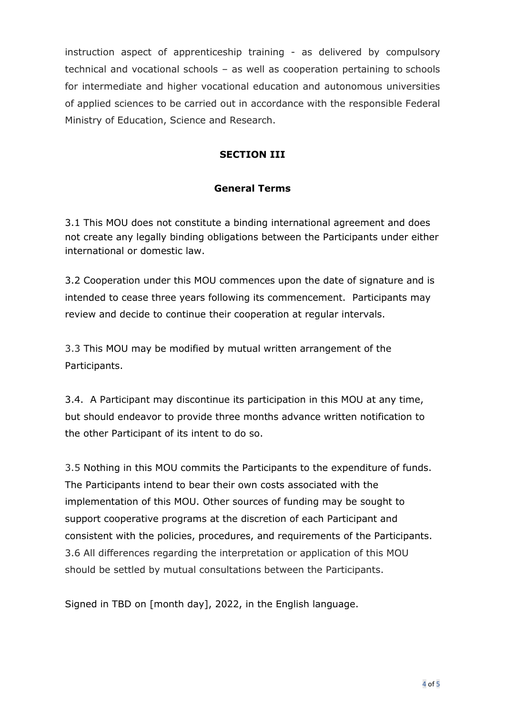instruction aspect of apprenticeship training - as delivered by compulsory technical and vocational schools – as well as cooperation pertaining to schools for intermediate and higher vocational education and autonomous universities of applied sciences to be carried out in accordance with the responsible Federal Ministry of Education, Science and Research.

### **SECTION III**

#### **General Terms**

3.1 This MOU does not constitute a binding international agreement and does not create any legally binding obligations between the Participants under either international or domestic law.

3.2 Cooperation under this MOU commences upon the date of signature and is intended to cease three years following its commencement. Participants may review and decide to continue their cooperation at regular intervals.

3.3 This MOU may be modified by mutual written arrangement of the Participants.

3.4. A Participant may discontinue its participation in this MOU at any time, but should endeavor to provide three months advance written notification to the other Participant of its intent to do so.

3.5 Nothing in this MOU commits the Participants to the expenditure of funds. The Participants intend to bear their own costs associated with the implementation of this MOU. Other sources of funding may be sought to support cooperative programs at the discretion of each Participant and consistent with the policies, procedures, and requirements of the Participants. 3.6 All differences regarding the interpretation or application of this MOU should be settled by mutual consultations between the Participants.

Signed in TBD on [month day], 2022, in the English language.